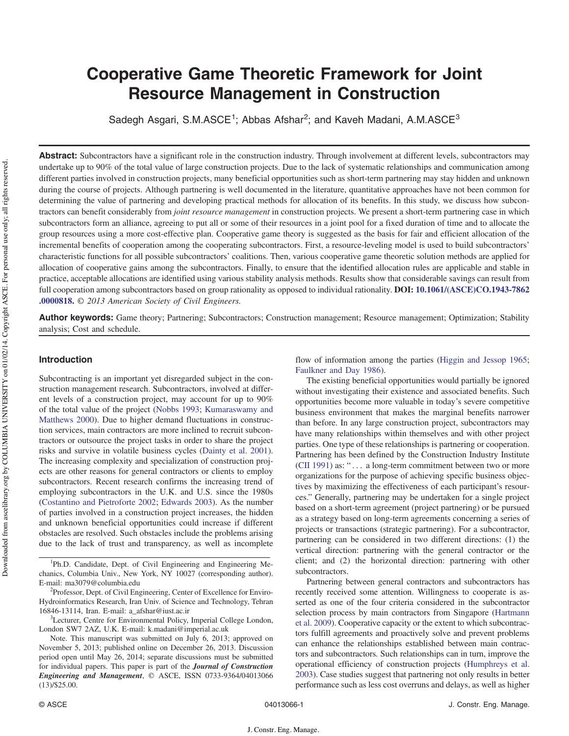# Cooperative Game Theoretic Framework for Joint Resource Management in Construction

Sadegh Asgari, S.M.ASCE<sup>1</sup>; Abbas Afshar<sup>2</sup>; and Kaveh Madani, A.M.ASCE<sup>3</sup>

Abstract: Subcontractors have a significant role in the construction industry. Through involvement at different levels, subcontractors may undertake up to 90% of the total value of large construction projects. Due to the lack of systematic relationships and communication among different parties involved in construction projects, many beneficial opportunities such as short-term partnering may stay hidden and unknown during the course of projects. Although partnering is well documented in the literature, quantitative approaches have not been common for determining the value of partnering and developing practical methods for allocation of its benefits. In this study, we discuss how subcontractors can benefit considerably from *joint resource management* in construction projects. We present a short-term partnering case in which subcontractors form an alliance, agreeing to put all or some of their resources in a joint pool for a fixed duration of time and to allocate the group resources using a more cost-effective plan. Cooperative game theory is suggested as the basis for fair and efficient allocation of the incremental benefits of cooperation among the cooperating subcontractors. First, a resource-leveling model is used to build subcontractors' characteristic functions for all possible subcontractors' coalitions. Then, various cooperative game theoretic solution methods are applied for allocation of cooperative gains among the subcontractors. Finally, to ensure that the identified allocation rules are applicable and stable in practice, acceptable allocations are identified using various stability analysis methods. Results show that considerable savings can result from full cooperation among subcontractors based on group rationality as opposed to individual rationality. DOI: [10.1061/\(ASCE\)CO.1943-7862](http://dx.doi.org/10.1061/(ASCE)CO.1943-7862.0000818) [.0000818.](http://dx.doi.org/10.1061/(ASCE)CO.1943-7862.0000818) © 2013 American Society of Civil Engineers.

Author keywords: Game theory; Partnering; Subcontractors; Construction management; Resource management; Optimization; Stability analysis; Cost and schedule.

# Introduction

Downloaded from ascelibrary org by COLUMBIA UNIVERSITY on 01/02/14. Copyright ASCE. For personal use only; all rights reserved. Downloaded from ascelibrary.org by COLUMBIA UNIVERSITY on 01/02/14. Copyright ASCE. For personal use only; all rights reserved.

Subcontracting is an important yet disregarded subject in the construction management research. Subcontractors, involved at different levels of a construction project, may account for up to 90% of the total value of the project ([Nobbs 1993;](#page-11-0) [Kumaraswamy and](#page-11-1) [Matthews 2000](#page-11-1)). Due to higher demand fluctuations in construction services, main contractors are more inclined to recruit subcontractors or outsource the project tasks in order to share the project risks and survive in volatile business cycles ([Dainty et al. 2001\)](#page-10-0). The increasing complexity and specialization of construction projects are other reasons for general contractors or clients to employ subcontractors. Recent research confirms the increasing trend of employing subcontractors in the U.K. and U.S. since the 1980s [\(Costantino and Pietroforte 2002;](#page-10-1) [Edwards 2003\)](#page-10-2). As the number of parties involved in a construction project increases, the hidden and unknown beneficial opportunities could increase if different obstacles are resolved. Such obstacles include the problems arising due to the lack of trust and transparency, as well as incomplete

The existing beneficial opportunities would partially be ignored without investigating their existence and associated benefits. Such opportunities become more valuable in today's severe competitive business environment that makes the marginal benefits narrower than before. In any large construction project, subcontractors may have many relationships within themselves and with other project parties. One type of these relationships is partnering or cooperation. Partnering has been defined by the Construction Industry Institute [\(CII 1991](#page-10-4)) as: "... a long-term commitment between two or more organizations for the purpose of achieving specific business objectives by maximizing the effectiveness of each participant's resources." Generally, partnering may be undertaken for a single project based on a short-term agreement (project partnering) or be pursued as a strategy based on long-term agreements concerning a series of projects or transactions (strategic partnering). For a subcontractor, partnering can be considered in two different directions: (1) the vertical direction: partnering with the general contractor or the client; and (2) the horizontal direction: partnering with other subcontractors.

Partnering between general contractors and subcontractors has recently received some attention. Willingness to cooperate is asserted as one of the four criteria considered in the subcontractor selection process by main contractors from Singapore ([Hartmann](#page-11-3) [et al. 2009\)](#page-11-3). Cooperative capacity or the extent to which subcontractors fulfill agreements and proactively solve and prevent problems can enhance the relationships established between main contractors and subcontractors. Such relationships can in turn, improve the operational efficiency of construction projects ([Humphreys et al.](#page-11-4) [2003\)](#page-11-4). Case studies suggest that partnering not only results in better performance such as less cost overruns and delays, as well as higher

<sup>&</sup>lt;sup>1</sup>Ph.D. Candidate, Dept. of Civil Engineering and Engineering Mechanics, Columbia Univ., New York, NY 10027 (corresponding author). E-mail: ma3079@columbia.edu

<sup>&</sup>lt;sup>2</sup>Professor, Dept. of Civil Engineering, Center of Excellence for Enviro-Hydroinformatics Research, Iran Univ. of Science and Technology, Tehran 16846-13114, Iran. E-mail: a\_afshar@iust.ac.ir

<sup>&</sup>lt;sup>3</sup>Lecturer, Centre for Environmental Policy, Imperial College London, London SW7 2AZ, U.K. E-mail: k.madani@imperial.ac.uk

Note. This manuscript was submitted on July 6, 2013; approved on November 5, 2013; published online on December 26, 2013. Discussion period open until May 26, 2014; separate discussions must be submitted for individual papers. This paper is part of the Journal of Construction Engineering and Management, © ASCE, ISSN 0733-9364/04013066 (13)/\$25.00.

flow of information among the parties [\(Higgin and Jessop 1965](#page-11-2); [Faulkner and Day 1986\)](#page-10-3).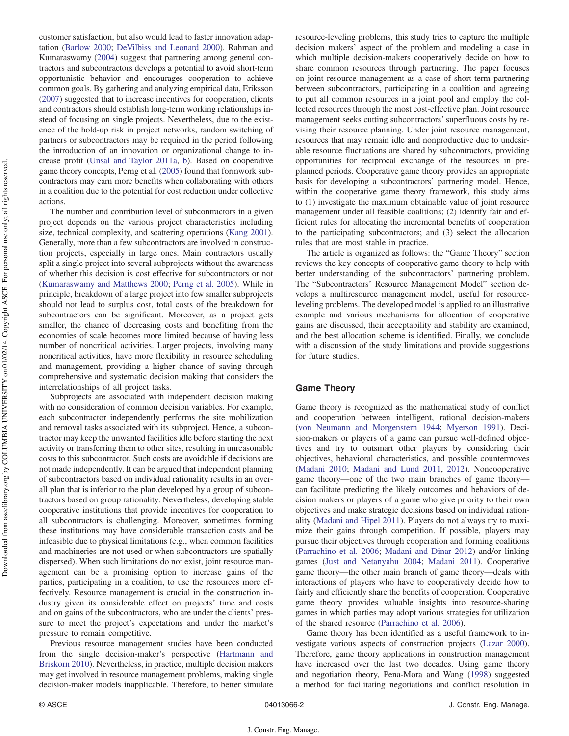customer satisfaction, but also would lead to faster innovation adaptation ([Barlow 2000;](#page-10-5) [DeVilbiss and Leonard 2000\)](#page-10-6). Rahman and Kumaraswamy ([2004](#page-11-5)) suggest that partnering among general contractors and subcontractors develops a potential to avoid short-term opportunistic behavior and encourages cooperation to achieve common goals. By gathering and analyzing empirical data, Eriksson [\(2007\)](#page-10-7) suggested that to increase incentives for cooperation, clients and contractors should establish long-term working relationships instead of focusing on single projects. Nevertheless, due to the existence of the hold-up risk in project networks, random switching of partners or subcontractors may be required in the period following the introduction of an innovation or organizational change to increase profit [\(Unsal and Taylor 2011a,](#page-12-0) [b](#page-12-1)). Based on cooperative game theory concepts, Perng et al. [\(2005](#page-11-6)) found that formwork subcontractors may earn more benefits when collaborating with others in a coalition due to the potential for cost reduction under collective actions.

The number and contribution level of subcontractors in a given project depends on the various project characteristics including size, technical complexity, and scattering operations [\(Kang 2001\)](#page-11-7). Generally, more than a few subcontractors are involved in construction projects, especially in large ones. Main contractors usually split a single project into several subprojects without the awareness of whether this decision is cost effective for subcontractors or not [\(Kumaraswamy and Matthews 2000;](#page-11-1) [Perng et al. 2005](#page-11-6)). While in principle, breakdown of a large project into few smaller subprojects should not lead to surplus cost, total costs of the breakdown for subcontractors can be significant. Moreover, as a project gets smaller, the chance of decreasing costs and benefiting from the economies of scale becomes more limited because of having less number of noncritical activities. Larger projects, involving many noncritical activities, have more flexibility in resource scheduling and management, providing a higher chance of saving through comprehensive and systematic decision making that considers the interrelationships of all project tasks.

Subprojects are associated with independent decision making with no consideration of common decision variables. For example, each subcontractor independently performs the site mobilization and removal tasks associated with its subproject. Hence, a subcontractor may keep the unwanted facilities idle before starting the next activity or transferring them to other sites, resulting in unreasonable costs to this subcontractor. Such costs are avoidable if decisions are not made independently. It can be argued that independent planning of subcontractors based on individual rationality results in an overall plan that is inferior to the plan developed by a group of subcontractors based on group rationality. Nevertheless, developing stable cooperative institutions that provide incentives for cooperation to all subcontractors is challenging. Moreover, sometimes forming these institutions may have considerable transaction costs and be infeasible due to physical limitations (e.g., when common facilities and machineries are not used or when subcontractors are spatially dispersed). When such limitations do not exist, joint resource management can be a promising option to increase gains of the parties, participating in a coalition, to use the resources more effectively. Resource management is crucial in the construction industry given its considerable effect on projects' time and costs and on gains of the subcontractors, who are under the clients' pressure to meet the project's expectations and under the market's pressure to remain competitive.

Previous resource management studies have been conducted from the single decision-maker's perspective [\(Hartmann and](#page-11-8) [Briskorn 2010](#page-11-8)). Nevertheless, in practice, multiple decision makers may get involved in resource management problems, making single decision-maker models inapplicable. Therefore, to better simulate resource-leveling problems, this study tries to capture the multiple decision makers' aspect of the problem and modeling a case in which multiple decision-makers cooperatively decide on how to share common resources through partnering. The paper focuses on joint resource management as a case of short-term partnering between subcontractors, participating in a coalition and agreeing to put all common resources in a joint pool and employ the collected resources through the most cost-effective plan. Joint resource management seeks cutting subcontractors' superfluous costs by revising their resource planning. Under joint resource management, resources that may remain idle and nonproductive due to undesirable resource fluctuations are shared by subcontractors, providing opportunities for reciprocal exchange of the resources in preplanned periods. Cooperative game theory provides an appropriate basis for developing a subcontractors' partnering model. Hence, within the cooperative game theory framework, this study aims to (1) investigate the maximum obtainable value of joint resource management under all feasible coalitions; (2) identify fair and efficient rules for allocating the incremental benefits of cooperation to the participating subcontractors; and (3) select the allocation rules that are most stable in practice.

The article is organized as follows: the "Game Theory" section reviews the key concepts of cooperative game theory to help with better understanding of the subcontractors' partnering problem. The "Subcontractors' Resource Management Model" section develops a multiresource management model, useful for resourceleveling problems. The developed model is applied to an illustrative example and various mechanisms for allocation of cooperative gains are discussed, their acceptability and stability are examined, and the best allocation scheme is identified. Finally, we conclude with a discussion of the study limitations and provide suggestions for future studies.

## Game Theory

Game theory is recognized as the mathematical study of conflict and cooperation between intelligent, rational decision-makers [\(von Neumann and Morgenstern 1944](#page-12-2); [Myerson 1991\)](#page-11-9). Decision-makers or players of a game can pursue well-defined objectives and try to outsmart other players by considering their objectives, behavioral characteristics, and possible countermoves [\(Madani 2010](#page-11-10); [Madani and Lund 2011,](#page-11-11) [2012](#page-11-12)). Noncooperative game theory—one of the two main branches of game theory can facilitate predicting the likely outcomes and behaviors of decision makers or players of a game who give priority to their own objectives and make strategic decisions based on individual rationality [\(Madani and Hipel 2011\)](#page-11-13). Players do not always try to maximize their gains through competition. If possible, players may pursue their objectives through cooperation and forming coalitions [\(Parrachino et al. 2006;](#page-11-14) [Madani and Dinar 2012\)](#page-11-15) and/or linking games [\(Just and Netanyahu 2004](#page-11-16); [Madani 2011\)](#page-11-17). Cooperative game theory—the other main branch of game theory—deals with interactions of players who have to cooperatively decide how to fairly and efficiently share the benefits of cooperation. Cooperative game theory provides valuable insights into resource-sharing games in which parties may adopt various strategies for utilization of the shared resource [\(Parrachino et al. 2006\)](#page-11-14).

Game theory has been identified as a useful framework to investigate various aspects of construction projects ([Lazar 2000\)](#page-11-18). Therefore, game theory applications in construction management have increased over the last two decades. Using game theory and negotiation theory, Pena-Mora and Wang [\(1998](#page-11-19)) suggested a method for facilitating negotiations and conflict resolution in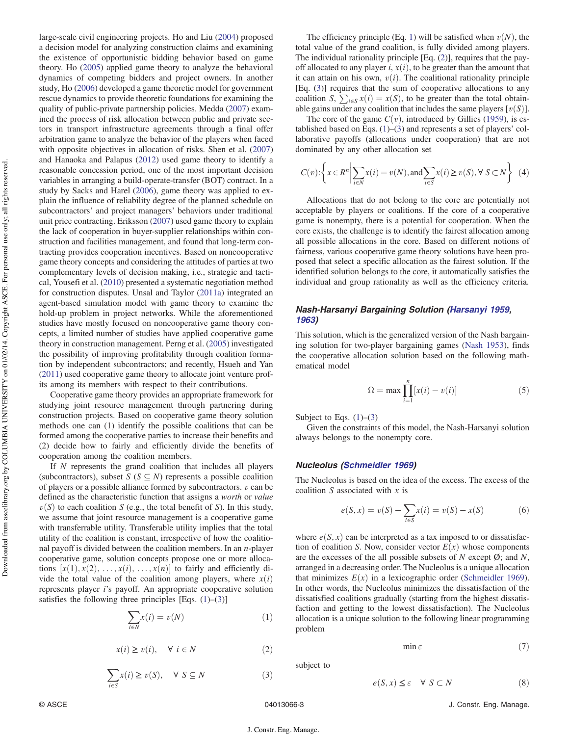large-scale civil engineering projects. Ho and Liu ([2004\)](#page-11-20) proposed a decision model for analyzing construction claims and examining the existence of opportunistic bidding behavior based on game theory. Ho [\(2005](#page-11-21)) applied game theory to analyze the behavioral dynamics of competing bidders and project owners. In another study, Ho ([2006\)](#page-11-22) developed a game theoretic model for government rescue dynamics to provide theoretic foundations for examining the quality of public-private partnership policies. Medda [\(2007](#page-11-23)) examined the process of risk allocation between public and private sectors in transport infrastructure agreements through a final offer arbitration game to analyze the behavior of the players when faced with opposite objectives in allocation of risks. Shen et al. ([2007\)](#page-11-24) and Hanaoka and Palapus ([2012\)](#page-11-25) used game theory to identify a reasonable concession period, one of the most important decision variables in arranging a build-operate-transfer (BOT) contract. In a study by Sacks and Harel [\(2006](#page-11-26)), game theory was applied to explain the influence of reliability degree of the planned schedule on subcontractors' and project managers' behaviors under traditional unit price contracting. Eriksson ([2007\)](#page-10-7) used game theory to explain the lack of cooperation in buyer-supplier relationships within construction and facilities management, and found that long-term contracting provides cooperation incentives. Based on noncooperative game theory concepts and considering the attitudes of parties at two complementary levels of decision making, i.e., strategic and tactical, Yousefi et al. [\(2010](#page-12-3)) presented a systematic negotiation method for construction disputes. Unsal and Taylor [\(2011a](#page-12-0)) integrated an agent-based simulation model with game theory to examine the hold-up problem in project networks. While the aforementioned studies have mostly focused on noncooperative game theory concepts, a limited number of studies have applied cooperative game theory in construction management. Perng et al. ([2005\)](#page-11-6) investigated the possibility of improving profitability through coalition formation by independent subcontractors; and recently, Hsueh and Yan [\(2011](#page-11-27)) used cooperative game theory to allocate joint venture profits among its members with respect to their contributions.

Cooperative game theory provides an appropriate framework for studying joint resource management through partnering during construction projects. Based on cooperative game theory solution methods one can (1) identify the possible coalitions that can be formed among the cooperative parties to increase their benefits and (2) decide how to fairly and efficiently divide the benefits of cooperation among the coalition members.

If  $N$  represents the grand coalition that includes all players (subcontractors), subset  $S$  ( $S \subseteq N$ ) represents a possible coalition of players or a possible alliance formed by subcontractors.  $v$  can be defined as the characteristic function that assigns a worth or value  $v(S)$  to each coalition S (e.g., the total benefit of S). In this study, we assume that joint resource management is a cooperative game with transferrable utility. Transferable utility implies that the total utility of the coalition is constant, irrespective of how the coalitional payoff is divided between the coalition members. In an  $n$ -player cooperative game, solution concepts propose one or more allocations  $[x(1), x(2), \ldots, x(i), \ldots, x(n)]$  to fairly and efficiently divide the total value of the coalition among players, where  $x(i)$ represents player i's payoff. An appropriate cooperative solution satisfies the following three principles [Eqs.  $(1)$  $(1)$ – $(3)$ ]

<span id="page-2-0"></span>
$$
\sum_{i \in N} x(i) = v(N) \tag{1}
$$

<span id="page-2-2"></span>
$$
x(i) \ge v(i), \quad \forall \ i \in N \tag{2}
$$

<span id="page-2-1"></span>
$$
\sum_{i \in S} x(i) \ge v(S), \quad \forall \ S \subseteq N \tag{3}
$$

The efficiency principle (Eq. [1\)](#page-2-0) will be satisfied when  $v(N)$ , the total value of the grand coalition, is fully divided among players. The individual rationality principle [Eq. [\(2\)](#page-2-2)], requires that the payoff allocated to any player i,  $x(i)$ , to be greater than the amount that it can attain on his own,  $v(i)$ . The coalitional rationality principle [Eq. ([3\)](#page-2-1)] requires that the sum of cooperative allocations to any coalition S,  $\sum_{i \in S} x(i) = x(S)$ , to be greater than the total obtainable gains under any coalition that includes the same players  $[v(S)]$ .

The core of the game  $C(v)$ , introduced by Gillies [\(1959](#page-11-28)), is established based on Eqs. ([1\)](#page-2-0)–[\(3](#page-2-1)) and represents a set of players' collaborative payoffs (allocations under cooperation) that are not dominated by any other allocation set

$$
C(v) : \left\{ x \in R^n \middle| \sum_{i \in N} x(i) = v(N), \text{and} \sum_{i \in S} x(i) \ge v(S), \forall S \subset N \right\}
$$
 (4)

Allocations that do not belong to the core are potentially not acceptable by players or coalitions. If the core of a cooperative game is nonempty, there is a potential for cooperation. When the core exists, the challenge is to identify the fairest allocation among all possible allocations in the core. Based on different notions of fairness, various cooperative game theory solutions have been proposed that select a specific allocation as the fairest solution. If the identified solution belongs to the core, it automatically satisfies the individual and group rationality as well as the efficiency criteria.

## Nash-Harsanyi Bargaining Solution ([Harsanyi 1959,](#page-11-29) [1963](#page-11-30))

This solution, which is the generalized version of the Nash bargaining solution for two-player bargaining games [\(Nash 1953](#page-11-31)), finds the cooperative allocation solution based on the following mathematical model

$$
\Omega = \max \prod_{i=1}^{n} [x(i) - v(i)] \tag{5}
$$

Subject to Eqs. [\(1\)](#page-2-0)–([3\)](#page-2-1)

Given the constraints of this model, the Nash-Harsanyi solution always belongs to the nonempty core.

## Nucleolus [\(Schmeidler 1969\)](#page-11-32)

The Nucleolus is based on the idea of the excess. The excess of the coalition  $S$  associated with  $x$  is

$$
e(S, x) = v(S) - \sum_{i \in S} x(i) = v(S) - x(S)
$$
 (6)

where  $e(S, x)$  can be interpreted as a tax imposed to or dissatisfaction of coalition S. Now, consider vector  $E(x)$  whose components are the excesses of the all possible subsets of  $N$  except  $\emptyset$ ; and  $N$ , arranged in a decreasing order. The Nucleolus is a unique allocation that minimizes  $E(x)$  in a lexicographic order [\(Schmeidler 1969\)](#page-11-32). In other words, the Nucleolus minimizes the dissatisfaction of the dissatisfied coalitions gradually (starting from the highest dissatisfaction and getting to the lowest dissatisfaction). The Nucleolus allocation is a unique solution to the following linear programming problem

 $\min \varepsilon$  (7)

subject to

$$
e(S, x) \le \varepsilon \quad \forall \ S \subset N \tag{8}
$$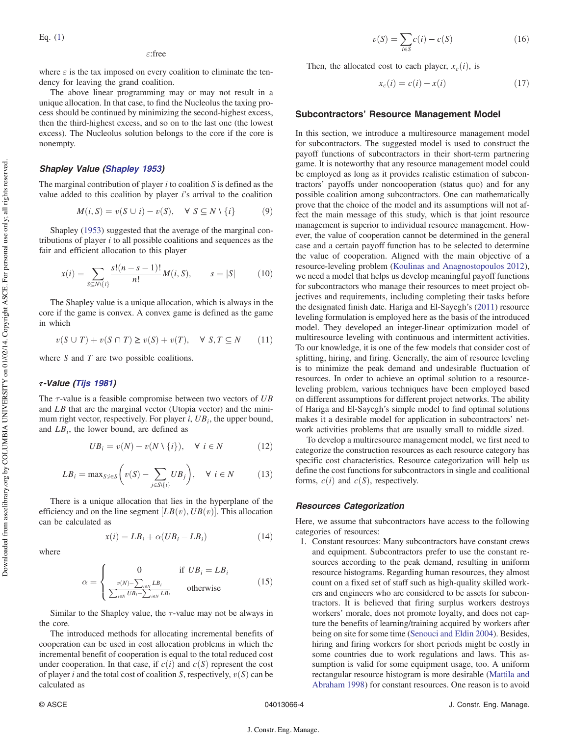Eq. [\(1](#page-2-0))

## ε∶free

where  $\varepsilon$  is the tax imposed on every coalition to eliminate the tendency for leaving the grand coalition.

The above linear programming may or may not result in a unique allocation. In that case, to find the Nucleolus the taxing process should be continued by minimizing the second-highest excess, then the third-highest excess, and so on to the last one (the lowest excess). The Nucleolus solution belongs to the core if the core is nonempty.

## Shapley Value [\(Shapley 1953\)](#page-11-33)

The marginal contribution of player  $i$  to coalition  $S$  is defined as the value added to this coalition by player i's arrival to the coalition

$$
M(i, S) = v(S \cup i) - v(S), \quad \forall S \subseteq N \setminus \{i\} \tag{9}
$$

Shapley [\(1953](#page-11-33)) suggested that the average of the marginal contributions of player  $i$  to all possible coalitions and sequences as the fair and efficient allocation to this player

$$
x(i) = \sum_{S \subseteq N\setminus\{i\}} \frac{s!(n-s-1)!}{n!} M(i, S), \qquad s = |S| \tag{10}
$$

The Shapley value is a unique allocation, which is always in the core if the game is convex. A convex game is defined as the game in which

$$
v(S \cup T) + v(S \cap T) \ge v(S) + v(T), \quad \forall \ S, T \subseteq N \qquad (11)
$$

where  $S$  and  $T$  are two possible coalitions.

## τ-Value [\(Tijs 1981\)](#page-11-34)

Downloaded from ascelibrary.org by COLUMBIA UNIVERSITY on 01/02/14. Copyright ASCE. For personal use only; all rights reserved. Downloaded from ascelibrary.org by COLUMBIA UNIVERSITY on 01/02/14. Copyright ASCE. For personal use only; all rights reserved.

The  $\tau$ -value is a feasible compromise between two vectors of UB and LB that are the marginal vector (Utopia vector) and the minimum right vector, respectively. For player i,  $UB_i$ , the upper bound, and  $LB_i$ , the lower bound, are defined as

$$
UB_i = v(N) - v(N \setminus \{i\}), \quad \forall \ i \in N \tag{12}
$$

$$
LB_i = \max_{S:i \in S} \left( v(S) - \sum_{j \in S\setminus\{i\}} UB_j \right), \quad \forall \ i \in N \tag{13}
$$

There is a unique allocation that lies in the hyperplane of the efficiency and on the line segment  $[LB(v), UB(v)]$ . This allocation can be calculated as

$$
x(i) = LB_i + \alpha (UB_i - LB_i)
$$
 (14)

where

$$
\alpha = \begin{cases}\n0 & \text{if } UB_i = LB_i \\
\frac{v(N) - \sum_{i \in N} LB_i}{\sum_{i \in N} UB_i - \sum_{i \in N} LB_i} & \text{otherwise}\n\end{cases}
$$
\n(15)

Similar to the Shapley value, the  $\tau$ -value may not be always in the core.

The introduced methods for allocating incremental benefits of cooperation can be used in cost allocation problems in which the incremental benefit of cooperation is equal to the total reduced cost under cooperation. In that case, if  $c(i)$  and  $c(S)$  represent the cost of player i and the total cost of coalition S, respectively,  $v(S)$  can be calculated as

$$
v(S) = \sum_{i \in S} c(i) - c(S) \tag{16}
$$

Then, the allocated cost to each player,  $x_c(i)$ , is

$$
x_c(i) = c(i) - x(i) \tag{17}
$$

#### Subcontractors' Resource Management Model

In this section, we introduce a multiresource management model for subcontractors. The suggested model is used to construct the payoff functions of subcontractors in their short-term partnering game. It is noteworthy that any resource management model could be employed as long as it provides realistic estimation of subcontractors' payoffs under noncooperation (status quo) and for any possible coalition among subcontractors. One can mathematically prove that the choice of the model and its assumptions will not affect the main message of this study, which is that joint resource management is superior to individual resource management. However, the value of cooperation cannot be determined in the general case and a certain payoff function has to be selected to determine the value of cooperation. Aligned with the main objective of a resource-leveling problem [\(Koulinas and Anagnostopoulos 2012\)](#page-11-35), we need a model that helps us develop meaningful payoff functions for subcontractors who manage their resources to meet project objectives and requirements, including completing their tasks before the designated finish date. Hariga and El-Sayegh's ([2011\)](#page-11-36) resource leveling formulation is employed here as the basis of the introduced model. They developed an integer-linear optimization model of multiresource leveling with continuous and intermittent activities. To our knowledge, it is one of the few models that consider cost of splitting, hiring, and firing. Generally, the aim of resource leveling is to minimize the peak demand and undesirable fluctuation of resources. In order to achieve an optimal solution to a resourceleveling problem, various techniques have been employed based on different assumptions for different project networks. The ability of Hariga and El-Sayegh's simple model to find optimal solutions makes it a desirable model for application in subcontractors' network activities problems that are usually small to middle sized.

To develop a multiresource management model, we first need to categorize the construction resources as each resource category has specific cost characteristics. Resource categorization will help us define the cost functions for subcontractors in single and coalitional forms,  $c(i)$  and  $c(S)$ , respectively.

#### Resources Categorization

Here, we assume that subcontractors have access to the following categories of resources:

1. Constant resources: Many subcontractors have constant crews and equipment. Subcontractors prefer to use the constant resources according to the peak demand, resulting in uniform resource histograms. Regarding human resources, they almost count on a fixed set of staff such as high-quality skilled workers and engineers who are considered to be assets for subcontractors. It is believed that firing surplus workers destroys workers' morale, does not promote loyalty, and does not capture the benefits of learning/training acquired by workers after being on site for some time ([Senouci and Eldin 2004\)](#page-11-37). Besides, hiring and firing workers for short periods might be costly in some countries due to work regulations and laws. This assumption is valid for some equipment usage, too. A uniform rectangular resource histogram is more desirable ([Mattila and](#page-11-38) [Abraham 1998\)](#page-11-38) for constant resources. One reason is to avoid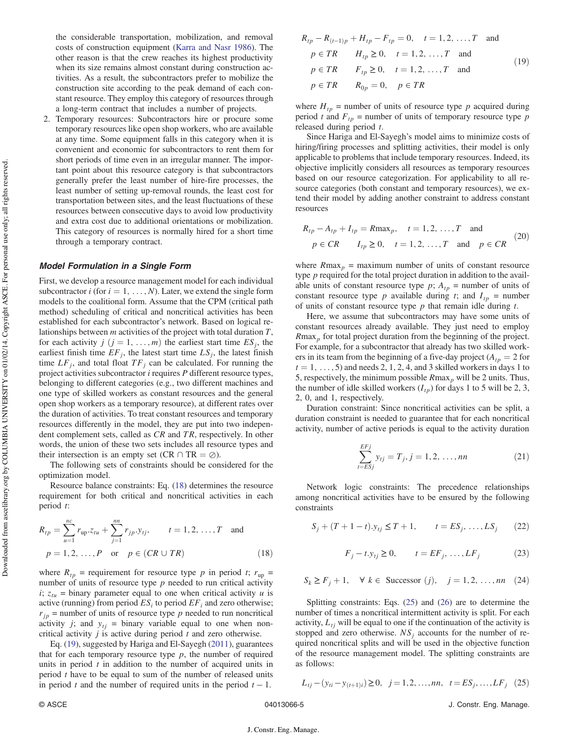the considerable transportation, mobilization, and removal costs of construction equipment [\(Karra and Nasr 1986\)](#page-11-39). The other reason is that the crew reaches its highest productivity when its size remains almost constant during construction activities. As a result, the subcontractors prefer to mobilize the construction site according to the peak demand of each constant resource. They employ this category of resources through a long-term contract that includes a number of projects.

2. Temporary resources: Subcontractors hire or procure some temporary resources like open shop workers, who are available at any time. Some equipment falls in this category when it is convenient and economic for subcontractors to rent them for short periods of time even in an irregular manner. The important point about this resource category is that subcontractors generally prefer the least number of hire-fire processes, the least number of setting up-removal rounds, the least cost for transportation between sites, and the least fluctuations of these resources between consecutive days to avoid low productivity and extra cost due to additional orientations or mobilization. This category of resources is normally hired for a short time through a temporary contract.

## Model Formulation in a Single Form

First, we develop a resource management model for each individual subcontractor  $i$  (for  $i = 1, ..., N$ ). Later, we extend the single form models to the coalitional form. Assume that the CPM (critical path method) scheduling of critical and noncritical activities has been established for each subcontractor's network. Based on logical relationships between  $m$  activities of the project with total duration  $T$ , for each activity  $j$   $(j = 1, ..., m)$  the earliest start time  $ES_j$ , the earliest finish time  $EF_j$ , the latest start time  $LS_j$ , the latest finish time  $LF_j$ , and total float  $TF_j$  can be calculated. For running the project activities subcontractor i requires P different resource types, belonging to different categories (e.g., two different machines and one type of skilled workers as constant resources and the general open shop workers as a temporary resource), at different rates over the duration of activities. To treat constant resources and temporary resources differently in the model, they are put into two independent complement sets, called as CR and TR, respectively. In other words, the union of these two sets includes all resource types and their intersection is an empty set (CR  $\cap$  TR =  $\oslash$ ).

The following sets of constraints should be considered for the optimization model.

<span id="page-4-0"></span>Resource balance constraints: Eq. [\(18\)](#page-4-0) determines the resource requirement for both critical and noncritical activities in each period t:

$$
R_{tp} = \sum_{u=1}^{nc} r_{up} z_{tu} + \sum_{j=1}^{nn} r_{jp} y_{tj}, \qquad t = 1, 2, ..., T \text{ and}
$$
  
\n
$$
p = 1, 2, ..., P \text{ or } p \in (CR \cup TR)
$$
 (18)

where  $R_{tp}$  = requirement for resource type p in period t;  $r_{up}$  = number of units of resource type  $p$  needed to run critical activity i;  $z_{tu}$  = binary parameter equal to one when critical activity u is active (running) from period  $ES_i$  to period  $EF_i$  and zero otherwise;  $r_{jp}$  = number of units of resource type p needed to run noncritical activity *j*; and  $y_{tj}$  = binary variable equal to one when noncritical activity  $j$  is active during period  $t$  and zero otherwise.

<span id="page-4-1"></span>Eq. ([19\)](#page-4-1), suggested by Hariga and El-Sayegh [\(2011](#page-11-36)), guarantees that for each temporary resource type  $p$ , the number of required units in period  $t$  in addition to the number of acquired units in period  $t$  have to be equal to sum of the number of released units in period t and the number of required units in the period  $t - 1$ .

$$
R_{tp} - R_{(t-1)p} + H_{tp} - F_{tp} = 0, \quad t = 1, 2, ..., T \text{ and}
$$
  
\n
$$
p \in TR \qquad H_{tp} \ge 0, \quad t = 1, 2, ..., T \text{ and}
$$
  
\n
$$
p \in TR \qquad F_{tp} \ge 0, \quad t = 1, 2, ..., T \text{ and}
$$
  
\n
$$
p \in TR \qquad R_{0p} = 0, \quad p \in TR \tag{19}
$$

where  $H_{tp}$  = number of units of resource type p acquired during period t and  $F_{tp}$  = number of units of temporary resource type p released during period  $t$ .

Since Hariga and El-Sayegh's model aims to minimize costs of hiring/firing processes and splitting activities, their model is only applicable to problems that include temporary resources. Indeed, its objective implicitly considers all resources as temporary resources based on our resource categorization. For applicability to all resource categories (both constant and temporary resources), we extend their model by adding another constraint to address constant resources

<span id="page-4-4"></span>
$$
R_{tp} - A_{tp} + I_{tp} = R \max_p, \quad t = 1, 2, ..., T \quad \text{and}
$$
  
\n $p \in CR$   $I_{tp} \ge 0, \quad t = 1, 2, ..., T \quad \text{and} \quad p \in CR$  (20)

where  $R$ max<sub>p</sub> = maximum number of units of constant resource type  $p$  required for the total project duration in addition to the available units of constant resource type  $p$ ;  $A_{tp}$  = number of units of constant resource type p available during t; and  $I_{tp}$  = number of units of constant resource type  $p$  that remain idle during  $t$ .

Here, we assume that subcontractors may have some units of constant resources already available. They just need to employ  $R$ max $_p$  for total project duration from the beginning of the project. For example, for a subcontractor that already has two skilled workers in its team from the beginning of a five-day project ( $A_{tp} = 2$  for  $t = 1, \ldots, 5$  and needs 2, 1, 2, 4, and 3 skilled workers in days 1 to 5, respectively, the minimum possible  $R$ max<sub>p</sub> will be 2 units. Thus, the number of idle skilled workers  $(I_{tp})$  for days 1 to 5 will be 2, 3, 2, 0, and 1, respectively.

Duration constraint: Since noncritical activities can be split, a duration constraint is needed to guarantee that for each noncritical activity, number of active periods is equal to the activity duration

$$
\sum_{t=ESj}^{EF_j} y_{tj} = T_j, j = 1, 2, ..., nn
$$
 (21)

Network logic constraints: The precedence relationships among noncritical activities have to be ensured by the following constraints

$$
S_j + (T + 1 - t). y_{tj} \le T + 1,
$$
  $t = ES_j, ..., LS_j$  (22)

$$
F_j - t.y_{tj} \ge 0, \qquad t = EF_j, \ldots, LF_j \tag{23}
$$

$$
S_k \ge F_j + 1, \quad \forall \ k \in \text{ Successor } (j), \quad j = 1, 2, \dots, nn \quad (24)
$$

<span id="page-4-2"></span>Splitting constraints: Eqs. ([25\)](#page-4-2) and [\(26\)](#page-4-3) are to determine the number of times a noncritical intermittent activity is split. For each activity,  $L_{tj}$  will be equal to one if the continuation of the activity is stopped and zero otherwise.  $NS<sub>j</sub>$  accounts for the number of required noncritical splits and will be used in the objective function of the resource management model. The splitting constraints are as follows:

<span id="page-4-3"></span>
$$
L_{ij} - (y_{ti} - y_{(t+1)i}) \ge 0, \quad j = 1, 2, ..., nn, \quad t = ES_j, ..., LF_j \quad (25)
$$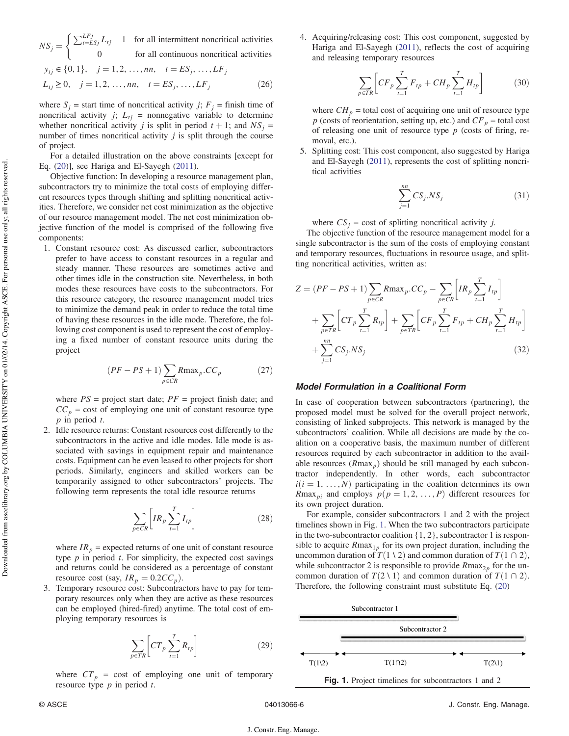$$
NS_j = \begin{cases} \sum_{t=ESj}^{LF_j} L_{tj} - 1 & \text{for all intermittent noncritical activities} \\ 0 & \text{for all continuous noncritical activities} \end{cases}
$$
  

$$
y_{tj} \in \{0, 1\}, \quad j = 1, 2, ..., nn, \quad t = ES_j, ..., LF_j
$$
  

$$
L_{tj} \ge 0, \quad j = 1, 2, ..., nn, \quad t = ES_j, ..., LF_j
$$
 (26)

where  $S_j$  = start time of noncritical activity j;  $F_j$  = finish time of noncritical activity  $j$ ;  $L_{tj}$  = nonnegative variable to determine whether noncritical activity j is split in period  $t + 1$ ; and  $NS_i$  = number of times noncritical activity  $j$  is split through the course of project.

For a detailed illustration on the above constraints [except for Eq. [\(20\)](#page-4-4)], see Hariga and El-Sayegh [\(2011](#page-11-36)).

Objective function: In developing a resource management plan, subcontractors try to minimize the total costs of employing different resources types through shifting and splitting noncritical activities. Therefore, we consider net cost minimization as the objective of our resource management model. The net cost minimization objective function of the model is comprised of the following five components:

1. Constant resource cost: As discussed earlier, subcontractors prefer to have access to constant resources in a regular and steady manner. These resources are sometimes active and other times idle in the construction site. Nevertheless, in both modes these resources have costs to the subcontractors. For this resource category, the resource management model tries to minimize the demand peak in order to reduce the total time of having these resources in the idle mode. Therefore, the following cost component is used to represent the cost of employing a fixed number of constant resource units during the project

$$
(PF - PS + 1) \sum_{p \in CR} R \max_{p} C C_p \tag{27}
$$

<span id="page-5-1"></span>where  $PS =$  project start date;  $PF =$  project finish date; and  $CC_p$  = cost of employing one unit of constant resource type  $p$  in period  $t$ .

2. Idle resource returns: Constant resources cost differently to the subcontractors in the active and idle modes. Idle mode is associated with savings in equipment repair and maintenance costs. Equipment can be even leased to other projects for short periods. Similarly, engineers and skilled workers can be temporarily assigned to other subcontractors' projects. The following term represents the total idle resource returns

$$
\sum_{p \in CR} \left[ IR_p \sum_{t=1}^T I_{tp} \right] \tag{28}
$$

where  $IR_p$  = expected returns of one unit of constant resource type  $p$  in period  $t$ . For simplicity, the expected cost savings and returns could be considered as a percentage of constant resource cost (say,  $IR_p = 0.2CC_p$ ).

3. Temporary resource cost: Subcontractors have to pay for temporary resources only when they are active as these resources can be employed (hired-fired) anytime. The total cost of employing temporary resources is

$$
\sum_{p \in TR} \left[ CT_p \sum_{t=1}^{T} R_{tp} \right] \tag{29}
$$

where  $CT_p$  = cost of employing one unit of temporary resource type  $p$  in period  $t$ .

4. Acquiring/releasing cost: This cost component, suggested by Hariga and El-Sayegh ([2011\)](#page-11-36), reflects the cost of acquiring and releasing temporary resources

$$
\sum_{p \in TR} \left[ CF_p \sum_{t=1}^T F_{tp} + CH_p \sum_{t=1}^T H_{tp} \right] \tag{30}
$$

where  $CH_p$  = total cost of acquiring one unit of resource type p (costs of reorientation, setting up, etc.) and  $CF_p =$  total cost of releasing one unit of resource type  $p$  (costs of firing, removal, etc.).

5. Splitting cost: This cost component, also suggested by Hariga and El-Sayegh ([2011\)](#page-11-36), represents the cost of splitting noncritical activities

$$
\sum_{j=1}^{nn} CS_j. NS_j \tag{31}
$$

where  $CS_i$  = cost of splitting noncritical activity j.

The objective function of the resource management model for a single subcontractor is the sum of the costs of employing constant and temporary resources, fluctuations in resource usage, and splitting noncritical activities, written as:

$$
Z = (PF - PS + 1) \sum_{p \in CR} R \max_{p} . CC_{p} - \sum_{p \in CR} \left[ IR_{p} \sum_{t=1}^{T} I_{tp} \right]
$$
  
+ 
$$
\sum_{p \in TR} \left[ CT_{p} \sum_{t=1}^{T} R_{tp} \right] + \sum_{p \in TR} \left[ CF_{p} \sum_{t=1}^{T} F_{tp} + CH_{p} \sum_{t=1}^{T} H_{tp} \right]
$$
  
+ 
$$
\sum_{j=1}^{nn} CS_{j}. NS_{j}
$$
(32)

#### Model Formulation in a Coalitional Form

In case of cooperation between subcontractors (partnering), the proposed model must be solved for the overall project network, consisting of linked subprojects. This network is managed by the subcontractors' coalition. While all decisions are made by the coalition on a cooperative basis, the maximum number of different resources required by each subcontractor in addition to the available resources ( $Rmax_p$ ) should be still managed by each subcontractor independently. In other words, each subcontractor  $i(i = 1, ..., N)$  participating in the coalition determines its own Rmax<sub>pi</sub> and employs  $p(p = 1, 2, ..., P)$  different resources for its own project duration.

For example, consider subcontractors 1 and 2 with the project timelines shown in Fig. [1](#page-5-0). When the two subcontractors participate in the two-subcontractor coalition {1, 2}, subcontractor 1 is responsible to acquire  $R$ max<sub>1p</sub> for its own project duration, including the uncommon duration of  $T(1 \setminus 2)$  and common duration of  $T(1 \cap 2)$ , while subcontractor 2 is responsible to provide  $Rmax_{2p}$  for the uncommon duration of  $T(2 \setminus 1)$  and common duration of  $T(1 \cap 2)$ . Therefore, the following constraint must substitute Eq. [\(20\)](#page-4-4)

<span id="page-5-0"></span>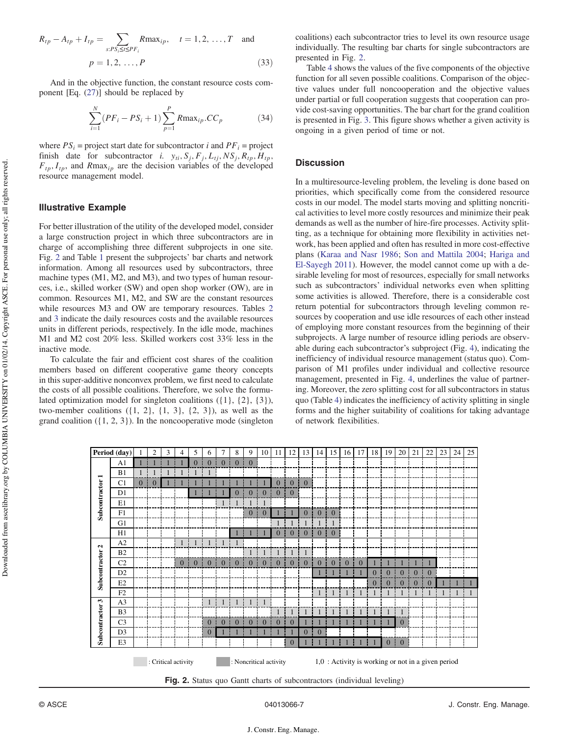$$
R_{tp} - A_{tp} + I_{tp} = \sum_{s: PS_i \le t \le PF_i} R \max_{ip}, \quad t = 1, 2, ..., T \quad \text{and}
$$

$$
p = 1, 2, ..., P \tag{33}
$$

And in the objective function, the constant resource costs component [Eq. [\(27](#page-5-1))] should be replaced by

$$
\sum_{i=1}^{N} (PF_i - PS_i + 1) \sum_{p=1}^{P} R \max_{ip} .CC_p \tag{34}
$$

where  $PS_i$  = project start date for subcontractor i and  $PF_i$  = project finish date for subcontractor i.  $y_{ti}$ ,  $S_j$ ,  $F_j$ ,  $L_{tj}$ ,  $NS_j$ ,  $R_{tp}$ ,  $H_{tp}$ ,  $F_{tp}$ ,  $I_{tp}$ , and  $R$ max<sub>ip</sub> are the decision variables of the developed resource management model.

#### Illustrative Example

For better illustration of the utility of the developed model, consider a large construction project in which three subcontractors are in charge of accomplishing three different subprojects in one site. Fig. [2](#page-6-0) and Table [1](#page-7-0) present the subprojects' bar charts and network information. Among all resources used by subcontractors, three machine types (M1, M2, and M3), and two types of human resources, i.e., skilled worker (SW) and open shop worker (OW), are in common. Resources M1, M2, and SW are the constant resources while resources M3 and OW are temporary resources. Tables [2](#page-7-1) and [3](#page-7-2) indicate the daily resources costs and the available resources units in different periods, respectively. In the idle mode, machines M1 and M2 cost 20% less. Skilled workers cost 33% less in the inactive mode.

To calculate the fair and efficient cost shares of the coalition members based on different cooperative game theory concepts in this super-additive nonconvex problem, we first need to calculate the costs of all possible coalitions. Therefore, we solve the formulated optimization model for singleton coalitions ({1}, {2}, {3}), two-member coalitions  $({1, 2}, {1, 3}, {2, 3})$ , as well as the grand coalition  $({1, 2, 3})$ . In the noncooperative mode (singleton coalitions) each subcontractor tries to level its own resource usage individually. The resulting bar charts for single subcontractors are presented in Fig. [2](#page-6-0).

Table [4](#page-7-3) shows the values of the five components of the objective function for all seven possible coalitions. Comparison of the objective values under full noncooperation and the objective values under partial or full cooperation suggests that cooperation can provide cost-saving opportunities. The bar chart for the grand coalition is presented in Fig. [3.](#page-8-0) This figure shows whether a given activity is ongoing in a given period of time or not.

# **Discussion**

In a multiresource-leveling problem, the leveling is done based on priorities, which specifically come from the considered resource costs in our model. The model starts moving and splitting noncritical activities to level more costly resources and minimize their peak demands as well as the number of hire-fire processes. Activity splitting, as a technique for obtaining more flexibility in activities network, has been applied and often has resulted in more cost-effective plans ([Karaa and Nasr 1986;](#page-11-39) [Son and Mattila 2004;](#page-11-40) [Hariga and](#page-11-36) [El-Sayegh 2011](#page-11-36)). However, the model cannot come up with a desirable leveling for most of resources, especially for small networks such as subcontractors' individual networks even when splitting some activities is allowed. Therefore, there is a considerable cost return potential for subcontractors through leveling common resources by cooperation and use idle resources of each other instead of employing more constant resources from the beginning of their subprojects. A large number of resource idling periods are observable during each subcontractor's subproject (Fig. [4](#page-8-1)), indicating the inefficiency of individual resource management (status quo). Comparison of M1 profiles under individual and collective resource management, presented in Fig. [4](#page-8-1), underlines the value of partnering. Moreover, the zero splitting cost for all subcontractors in status quo (Table [4\)](#page-7-3) indicates the inefficiency of activity splitting in single forms and the higher suitability of coalitions for taking advantage of network flexibilities.

<span id="page-6-0"></span>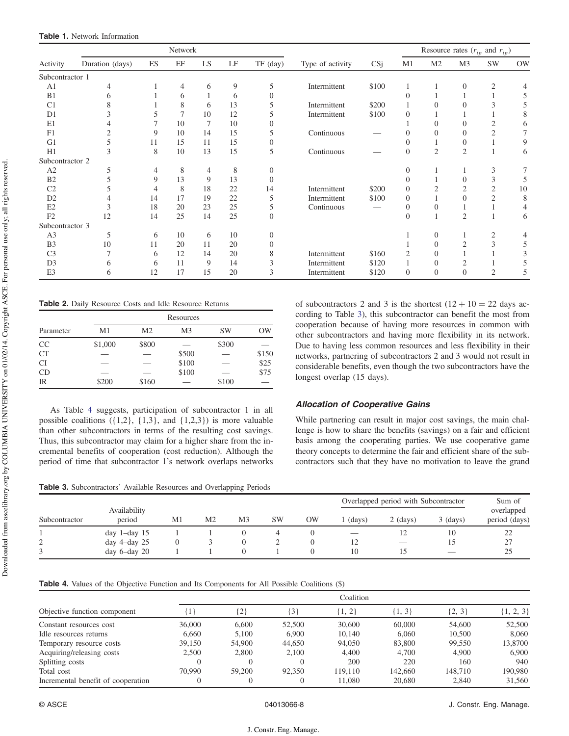<span id="page-7-0"></span>

|                 | <b>Network</b>  |    |    |     |    |          |                  |       | Resource rates $(r_{ip}$ and $r_{ip})$ |                |                |                |           |
|-----------------|-----------------|----|----|-----|----|----------|------------------|-------|----------------------------------------|----------------|----------------|----------------|-----------|
| Activity        | Duration (days) | ES | EF | LS. | LF | TF (day) | Type of activity | CSj   | M1                                     | M <sub>2</sub> | M <sub>3</sub> | <b>SW</b>      | <b>OW</b> |
| Subcontractor 1 |                 |    |    |     |    |          |                  |       |                                        |                |                |                |           |
| A <sub>1</sub>  | 4               |    | 4  | 6   | 9  | 5        | Intermittent     | \$100 |                                        |                | $\Omega$       | 2              | 4         |
| B1              | 6               |    | 6  |     | 6  | $\Omega$ |                  |       | $\theta$                               |                |                |                | 5         |
| C <sub>1</sub>  | 8               |    | 8  | 6   | 13 | 5        | Intermittent     | \$200 |                                        | $\Omega$       | $\Omega$       | 3              | 5         |
| D1              |                 |    | 7  | 10  | 12 |          | Intermittent     | \$100 | $\theta$                               |                |                |                | 8         |
| E1              |                 |    | 10 |     | 10 | 0        |                  |       |                                        | 0              | $\Omega$       |                | 6         |
| F1              |                 | 9  | 10 | 14  | 15 | 5        | Continuous       |       |                                        | $\Omega$       | $\Omega$       | $\overline{c}$ |           |
| G1              | 5               | 11 | 15 | 11  | 15 | $\Omega$ |                  |       |                                        |                | $\Omega$       |                | 9         |
| H1              | 3               | 8  | 10 | 13  | 15 | 5        | Continuous       |       | $\overline{0}$                         | $\overline{2}$ | $\overline{2}$ |                | 6         |
| Subcontractor 2 |                 |    |    |     |    |          |                  |       |                                        |                |                |                |           |
| A2              | 5               | 4  | 8  | 4   | 8  | $\Omega$ |                  |       | $\theta$                               |                |                | 3              |           |
| B <sub>2</sub>  |                 | 9  | 13 | 9   | 13 | $\theta$ |                  |       | $\theta$                               |                | $\Omega$       | 3              | 5         |
| C <sub>2</sub>  |                 | 4  | 8  | 18  | 22 | 14       | Intermittent     | \$200 | $\overline{0}$                         | $\overline{2}$ | $\overline{2}$ | 2              | 10        |
| D2              |                 | 14 | 17 | 19  | 22 | 5        | Intermittent     | \$100 | $\overline{0}$                         |                | $\Omega$       | $\overline{2}$ | 8         |
| E2              | 3               | 18 | 20 | 23  | 25 | 5        | Continuous       |       | $\Omega$                               | $\Omega$       |                |                |           |
| F2              | 12              | 14 | 25 | 14  | 25 | $\Omega$ |                  |       | $\theta$                               |                | $\overline{2}$ |                | 6         |
| Subcontractor 3 |                 |    |    |     |    |          |                  |       |                                        |                |                |                |           |
| A <sub>3</sub>  | 5               | 6  | 10 | 6   | 10 | $\Omega$ |                  |       |                                        | $\theta$       |                | 2              | 4         |
| B <sub>3</sub>  | 10              | 11 | 20 | 11  | 20 | 0        |                  |       |                                        | $\theta$       | $\overline{2}$ | 3              | 5         |
| C <sub>3</sub>  |                 | 6  | 12 | 14  | 20 | 8        | Intermittent     | \$160 | $\overline{2}$                         | $\Omega$       |                |                |           |
| D <sub>3</sub>  | O.              | 6  | 11 | 9   | 14 | 3        | Intermittent     | \$120 |                                        | $\theta$       | 2              |                | 5         |
| E3              | 6               | 12 | 17 | 15  | 20 | 3        | Intermittent     | \$120 | $\overline{0}$                         | $\Omega$       | $\Omega$       | $\overline{c}$ | 5         |

<span id="page-7-1"></span>Table 2. Daily Resource Costs and Idle Resource Returns

|           | Resources |                |       |           |       |  |  |  |
|-----------|-----------|----------------|-------|-----------|-------|--|--|--|
| Parameter | M1        | M <sub>2</sub> | M3    | <b>SW</b> | OW    |  |  |  |
| CC        | \$1,000   | \$800          |       | \$300     |       |  |  |  |
| CT        |           |                | \$500 |           | \$150 |  |  |  |
| <b>CI</b> |           |                | \$100 |           | \$25  |  |  |  |
| CD        |           |                | \$100 |           | \$75  |  |  |  |
| IR        | \$200     | \$160          |       | \$100     |       |  |  |  |

As Table [4](#page-7-3) suggests, participation of subcontractor 1 in all possible coalitions  $({1,2}, {1,3},$  and  ${1,2,3}$ ) is more valuable than other subcontractors in terms of the resulting cost savings. Thus, this subcontractor may claim for a higher share from the incremental benefits of cooperation (cost reduction). Although the period of time that subcontractor 1's network overlaps networks

<span id="page-7-2"></span>Table 3. Subcontractors' Available Resources and Overlapping Periods

of subcontractors 2 and 3 is the shortest  $(12 + 10 = 22$  days according to Table [3\)](#page-7-2), this subcontractor can benefit the most from cooperation because of having more resources in common with other subcontractors and having more flexibility in its network. Due to having less common resources and less flexibility in their networks, partnering of subcontractors 2 and 3 would not result in considerable benefits, even though the two subcontractors have the longest overlap (15 days).

## Allocation of Cooperative Gains

While partnering can result in major cost savings, the main challenge is how to share the benefits (savings) on a fair and efficient basis among the cooperating parties. We use cooperative game theory concepts to determine the fair and efficient share of the subcontractors such that they have no motivation to leave the grand

|               |                        |          |  | M3 | <b>SW</b> | OW | Overlapped period with Subcontractor | Sum of     |            |                             |
|---------------|------------------------|----------|--|----|-----------|----|--------------------------------------|------------|------------|-----------------------------|
| Subcontractor | Availability<br>period | M2<br>M1 |  |    |           |    | (days)                               | $2$ (days) | $3$ (days) | overlapped<br>period (days) |
|               | day $1$ -day $15$      |          |  |    |           |    | -                                    |            | 10         | 22                          |
| ∠             | day $4$ -day $25$      |          |  |    |           |    | 12                                   |            |            | 27                          |
|               | day $6$ -day $20$      |          |  |    |           |    | 10                                   |            |            | 25                          |

<span id="page-7-3"></span>

|  |  |  |  |  |  | Table 4. Values of the Objective Function and Its Components for All Possible Coalitions (\$) |  |  |  |  |  |
|--|--|--|--|--|--|-----------------------------------------------------------------------------------------------|--|--|--|--|--|
|--|--|--|--|--|--|-----------------------------------------------------------------------------------------------|--|--|--|--|--|

|                                    | Coalition |        |                    |            |            |            |               |  |  |
|------------------------------------|-----------|--------|--------------------|------------|------------|------------|---------------|--|--|
| Objective function component       |           | [2]    | $\left\{3\right\}$ | $\{1, 2\}$ | $\{1, 3\}$ | $\{2, 3\}$ | $\{1, 2, 3\}$ |  |  |
| Constant resources cost            | 36,000    | 6.600  | 52,500             | 30,600     | 60,000     | 54,600     | 52,500        |  |  |
| Idle resources returns             | 6.660     | 5.100  | 6.900              | 10.140     | 6.060      | 10.500     | 8.060         |  |  |
| Temporary resource costs           | 39,150    | 54,900 | 44,650             | 94,050     | 83,800     | 99.550     | 13,8700       |  |  |
| Acquiring/releasing costs          | 2.500     | 2.800  | 2.100              | 4.400      | 4.700      | 4.900      | 6.900         |  |  |
| Splitting costs                    |           |        |                    | 200        | 220        | 160        | 940           |  |  |
| Total cost                         | 70,990    | 59,200 | 92,350             | 119.110    | 142,660    | 148.710    | 190,980       |  |  |
| Incremental benefit of cooperation | $\Omega$  |        |                    | 11.080     | 20,680     | 2.840      | 31,560        |  |  |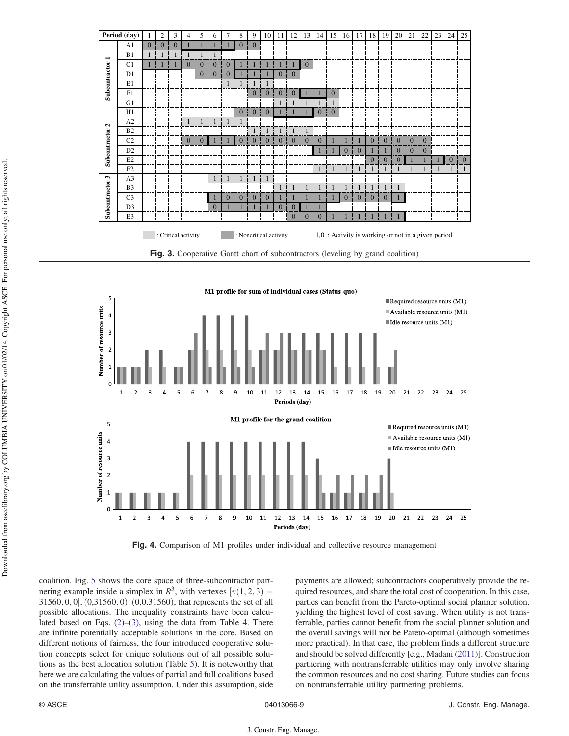<span id="page-8-0"></span>

<span id="page-8-1"></span>Downloaded from ascelibrary.org by COLUMBIA UNIVERSITY on 01/02/14. Copyright ASCE. For personal use only; all rights reserved. Downloaded from ascelibrary.org by COLUMBIA UNIVERSITY on 01/02/14. Copyright ASCE. For personal use only; all rights reserved.

payments are allowed; subcontractors cooperatively provide the required resources, and share the total cost of cooperation. In this case, parties can benefit from the Pareto-optimal social planner solution, yielding the highest level of cost saving. When utility is not transferrable, parties cannot benefit from the social planner solution and the overall savings will not be Pareto-optimal (although sometimes more practical). In that case, the problem finds a different structure and should be solved differently [e.g., Madani ([2011](#page-11-17))]. Construction partnering with nontransferrable utilities may only involve sharing the common resources and no cost sharing. Future studies can focus on nontransferrable utility partnering problems.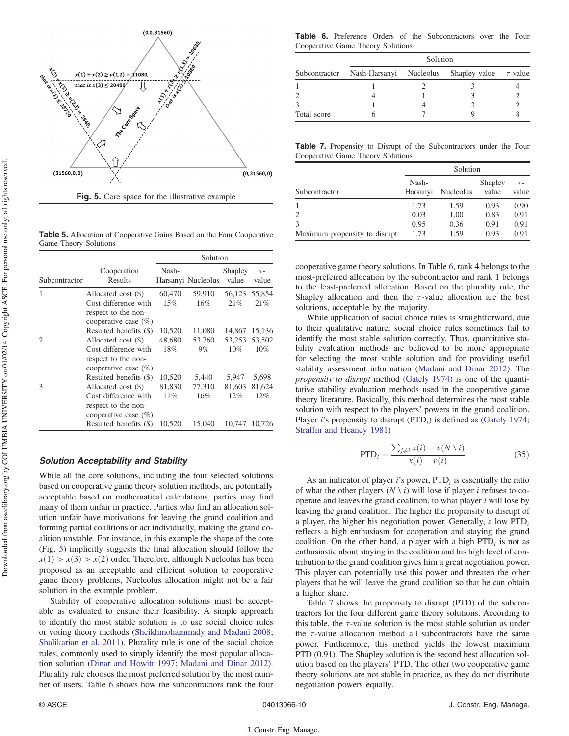<span id="page-9-0"></span>

<span id="page-9-1"></span>Table 5. Allocation of Cooperative Gains Based on the Four Cooperative Game Theory Solutions

|               |                                                                                                                                                   |                                   | Solution                         |                                  |                                  |
|---------------|---------------------------------------------------------------------------------------------------------------------------------------------------|-----------------------------------|----------------------------------|----------------------------------|----------------------------------|
| Subcontractor | Cooperation<br>Results                                                                                                                            | Nash-                             | Harsanyi Nucleolus               | <b>Shapley</b><br>value          | $T-$<br>value                    |
| 1             | Allocated cost (\$)<br>Cost difference with<br>respect to the non-<br>cooperative case $(\%)$                                                     | 60,470<br>15%                     | 59,910<br>16%                    | 56,123<br>21%                    | 55,854<br>21%                    |
|               | Resulted benefits (\$)<br>Allocated cost (\$)<br>Cost difference with<br>respect to the non-<br>cooperative case $(\%)$                           | 10,520<br>48,680<br>18%           | 11,080<br>53,760<br>$9\%$        | 14,867<br>53,253<br>10%          | 15,136<br>53,502<br>10%          |
| 3             | Resulted benefits (\$)<br>Allocated cost (\$)<br>Cost difference with<br>respect to the non-<br>cooperative case $(\%)$<br>Resulted benefits (\$) | 10,520<br>81,830<br>11%<br>10,520 | 5,440<br>77,310<br>16%<br>15,040 | 5,947<br>81,603<br>12%<br>10.747 | 5,698<br>81,624<br>12%<br>10,726 |

## Solution Acceptability and Stability

While all the core solutions, including the four selected solutions based on cooperative game theory solution methods, are potentially acceptable based on mathematical calculations, parties may find many of them unfair in practice. Parties who find an allocation solution unfair have motivations for leaving the grand coalition and forming partial coalitions or act individually, making the grand coalition unstable. For instance, in this example the shape of the core (Fig. [5](#page-9-0)) implicitly suggests the final allocation should follow the  $x(1) > x(3) > x(2)$  order. Therefore, although Nucleolus has been proposed as an acceptable and efficient solution to cooperative game theory problems, Nucleolus allocation might not be a fair solution in the example problem.

Stability of cooperative allocation solutions must be acceptable as evaluated to ensure their feasibility. A simple approach to identify the most stable solution is to use social choice rules or voting theory methods [\(Sheikhmohammady and Madani 2008](#page-11-41); [Shalikarian et al. 2011\)](#page-11-42). Plurality rule is one of the social choice rules, commonly used to simply identify the most popular allocation solution [\(Dinar and Howitt 1997;](#page-10-8) [Madani and Dinar 2012\)](#page-11-15). Plurality rule chooses the most preferred solution by the most number of users. Table [6](#page-9-2) shows how the subcontractors rank the four

<span id="page-9-2"></span>Table 6. Preference Orders of the Subcontractors over the Four Cooperative Game Theory Solutions

|             | Solution                                                          |  |  |  |  |  |  |  |
|-------------|-------------------------------------------------------------------|--|--|--|--|--|--|--|
|             | Subcontractor Nash-Harsanyi Nucleolus Shapley value $\tau$ -value |  |  |  |  |  |  |  |
|             |                                                                   |  |  |  |  |  |  |  |
|             |                                                                   |  |  |  |  |  |  |  |
|             |                                                                   |  |  |  |  |  |  |  |
| Total score |                                                                   |  |  |  |  |  |  |  |

<span id="page-9-3"></span>Table 7. Propensity to Disrupt of the Subcontractors under the Four Cooperative Game Theory Solutions

|                               | Solution          |           |                  |               |  |  |  |
|-------------------------------|-------------------|-----------|------------------|---------------|--|--|--|
| Subcontractor                 | Nash-<br>Harsanyi | Nucleolus | Shapley<br>value | $T-$<br>value |  |  |  |
|                               | 1.73              | 1.59      | 0.93             | 0.90          |  |  |  |
| $\overline{2}$                | 0.03              | 1.00      | 0.83             | 0.91          |  |  |  |
| 3                             | 0.95              | 0.36      | 0.91             | 0.91          |  |  |  |
| Maximum propensity to disrupt | 1.73              | 1.59      | 0.93             | 0.91          |  |  |  |

cooperative game theory solutions. In Table [6,](#page-9-2) rank 4 belongs to the most-preferred allocation by the subcontractor and rank 1 belongs to the least-preferred allocation. Based on the plurality rule, the Shapley allocation and then the  $\tau$ -value allocation are the best solutions, acceptable by the majority.

While application of social choice rules is straightforward, due to their qualitative nature, social choice rules sometimes fail to identify the most stable solution correctly. Thus, quantitative stability evaluation methods are believed to be more appropriate for selecting the most stable solution and for providing useful stability assessment information [\(Madani and Dinar 2012\)](#page-11-15). The propensity to disrupt method ([Gately 1974](#page-11-43)) is one of the quantitative stability evaluation methods used in the cooperative game theory literature. Basically, this method determines the most stable solution with respect to the players' powers in the grand coalition. Player *i*'s propensity to disrupt ( $PTD_i$ ) is defined as ([Gately 1974](#page-11-43); [Straffin and Heaney 1981\)](#page-11-44)

$$
PTD_i = \frac{\sum_{j \neq i} x(i) - v(N \setminus i)}{x(i) - v(i)}
$$
(35)

As an indicator of player  $i$ 's power,  $PTD_i$  is essentially the ratio of what the other players  $(N \setminus i)$  will lose if player *i* refuses to cooperate and leaves the grand coalition, to what player  $i$  will lose by leaving the grand coalition. The higher the propensity to disrupt of a player, the higher his negotiation power. Generally, a low  $\text{PTD}_i$ reflects a high enthusiasm for cooperation and staying the grand coalition. On the other hand, a player with a high  $PTD_i$  is not as enthusiastic about staying in the coalition and his high level of contribution to the grand coalition gives him a great negotiation power. This player can potentially use this power and threaten the other players that he will leave the grand coalition so that he can obtain a higher share.

Table [7](#page-9-3) shows the propensity to disrupt (PTD) of the subcontractors for the four different game theory solutions. According to this table, the  $\tau$ -value solution is the most stable solution as under the  $\tau$ -value allocation method all subcontractors have the same power. Furthermore, this method yields the lowest maximum PTD (0.91). The Shapley solution is the second best allocation solution based on the players' PTD. The other two cooperative game theory solutions are not stable in practice, as they do not distribute negotiation powers equally.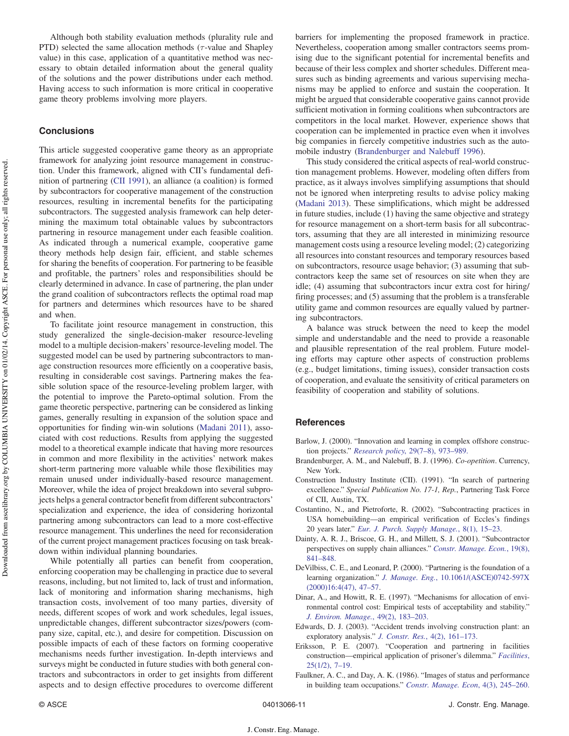Although both stability evaluation methods (plurality rule and PTD) selected the same allocation methods ( $\tau$ -value and Shapley value) in this case, application of a quantitative method was necessary to obtain detailed information about the general quality of the solutions and the power distributions under each method. Having access to such information is more critical in cooperative game theory problems involving more players.

# **Conclusions**

This article suggested cooperative game theory as an appropriate framework for analyzing joint resource management in construction. Under this framework, aligned with CII's fundamental definition of partnering [\(CII 1991\)](#page-10-4), an alliance (a coalition) is formed by subcontractors for cooperative management of the construction resources, resulting in incremental benefits for the participating subcontractors. The suggested analysis framework can help determining the maximum total obtainable values by subcontractors partnering in resource management under each feasible coalition. As indicated through a numerical example, cooperative game theory methods help design fair, efficient, and stable schemes for sharing the benefits of cooperation. For partnering to be feasible and profitable, the partners' roles and responsibilities should be clearly determined in advance. In case of partnering, the plan under the grand coalition of subcontractors reflects the optimal road map for partners and determines which resources have to be shared and when.

To facilitate joint resource management in construction, this study generalized the single-decision-maker resource-leveling model to a multiple decision-makers' resource-leveling model. The suggested model can be used by partnering subcontractors to manage construction resources more efficiently on a cooperative basis, resulting in considerable cost savings. Partnering makes the feasible solution space of the resource-leveling problem larger, with the potential to improve the Pareto-optimal solution. From the game theoretic perspective, partnering can be considered as linking games, generally resulting in expansion of the solution space and opportunities for finding win-win solutions ([Madani 2011](#page-11-17)), associated with cost reductions. Results from applying the suggested model to a theoretical example indicate that having more resources in common and more flexibility in the activities' network makes short-term partnering more valuable while those flexibilities may remain unused under individually-based resource management. Moreover, while the idea of project breakdown into several subprojects helps a general contractor benefit from different subcontractors' specialization and experience, the idea of considering horizontal partnering among subcontractors can lead to a more cost-effective resource management. This underlines the need for reconsideration of the current project management practices focusing on task breakdown within individual planning boundaries.

While potentially all parties can benefit from cooperation, enforcing cooperation may be challenging in practice due to several reasons, including, but not limited to, lack of trust and information, lack of monitoring and information sharing mechanisms, high transaction costs, involvement of too many parties, diversity of needs, different scopes of work and work schedules, legal issues, unpredictable changes, different subcontractor sizes/powers (company size, capital, etc.), and desire for competition. Discussion on possible impacts of each of these factors on forming cooperative mechanisms needs further investigation. In-depth interviews and surveys might be conducted in future studies with both general contractors and subcontractors in order to get insights from different aspects and to design effective procedures to overcome different barriers for implementing the proposed framework in practice. Nevertheless, cooperation among smaller contractors seems promising due to the significant potential for incremental benefits and because of their less complex and shorter schedules. Different measures such as binding agreements and various supervising mechanisms may be applied to enforce and sustain the cooperation. It might be argued that considerable cooperative gains cannot provide sufficient motivation in forming coalitions when subcontractors are competitors in the local market. However, experience shows that cooperation can be implemented in practice even when it involves big companies in fiercely competitive industries such as the automobile industry ([Brandenburger and Nalebuff 1996](#page-10-9)).

This study considered the critical aspects of real-world construction management problems. However, modeling often differs from practice, as it always involves simplifying assumptions that should not be ignored when interpreting results to advise policy making [\(Madani 2013](#page-11-45)). These simplifications, which might be addressed in future studies, include (1) having the same objective and strategy for resource management on a short-term basis for all subcontractors, assuming that they are all interested in minimizing resource management costs using a resource leveling model; (2) categorizing all resources into constant resources and temporary resources based on subcontractors, resource usage behavior; (3) assuming that subcontractors keep the same set of resources on site when they are idle; (4) assuming that subcontractors incur extra cost for hiring/ firing processes; and (5) assuming that the problem is a transferable utility game and common resources are equally valued by partnering subcontractors.

A balance was struck between the need to keep the model simple and understandable and the need to provide a reasonable and plausible representation of the real problem. Future modeling efforts may capture other aspects of construction problems (e.g., budget limitations, timing issues), consider transaction costs of cooperation, and evaluate the sensitivity of critical parameters on feasibility of cooperation and stability of solutions.

## <span id="page-10-5"></span>**References**

- <span id="page-10-9"></span>Barlow, J. (2000). "Innovation and learning in complex offshore construction projects." [Research policy](http://dx.doi.org/10.1016/S0048-7333(00)00115-3), 29(7–8), 973–989.
- <span id="page-10-4"></span>Brandenburger, A. M., and Nalebuff, B. J. (1996). Co-opetition. Currency, New York.
- <span id="page-10-1"></span>Construction Industry Institute (CII). (1991). "In search of partnering excellence." Special Publication No. 17-1, Rep., Partnering Task Force of CII, Austin, TX.
- <span id="page-10-0"></span>Costantino, N., and Pietroforte, R. (2002). "Subcontracting practices in USA homebuilding—an empirical verification of Eccles's findings 20 years later." [Eur. J. Purch. Supply Manage.](http://dx.doi.org/10.1016/S0969-7012(01)00019-3), 8(1), 15–23.
- <span id="page-10-6"></span>Dainty, A. R. J., Briscoe, G. H., and Millett, S. J. (2001). "Subcontractor perspectives on supply chain alliances." [Constr. Manage. Econ.](http://dx.doi.org/10.1080/01446190110089727), 19(8), 841–[848.](http://dx.doi.org/10.1080/01446190110089727)
- <span id="page-10-8"></span>DeVilbiss, C. E., and Leonard, P. (2000). "Partnering is the foundation of a learning organization." [J. Manage. Eng.](http://dx.doi.org/10.1061/(ASCE)0742-597X(2000)16:4(47))[, 10.1061/\(ASCE\)0742-597X](http://dx.doi.org/10.1061/(ASCE)0742-597X(2000)16:4(47)) [\(2000\)16:4\(47\), 47](http://dx.doi.org/10.1061/(ASCE)0742-597X(2000)16:4(47))–57.
- <span id="page-10-2"></span>Dinar, A., and Howitt, R. E. (1997). "Mechanisms for allocation of environmental control cost: Empirical tests of acceptability and stability." [J. Environ. Manage.](http://dx.doi.org/10.1006/jema.1995.0088), 49(2), 183–203.
- <span id="page-10-7"></span>Edwards, D. J. (2003). "Accident trends involving construction plant: an exploratory analysis." [J. Constr. Res.](http://dx.doi.org/10.1142/S1609945103000406), 4(2), 161-173.
- <span id="page-10-3"></span>Eriksson, P. E. (2007). "Cooperation and partnering in facilities construction—empirical application of prisoner's dilemma." [Facilities](http://dx.doi.org/10.1108/02632770710716902), [25\(1/2\), 7](http://dx.doi.org/10.1108/02632770710716902)–19.
- Faulkner, A. C., and Day, A. K. (1986). "Images of status and performance in building team occupations." [Constr. Manage. Econ](http://dx.doi.org/10.1080/01446198600000019), 4(3), 245-260.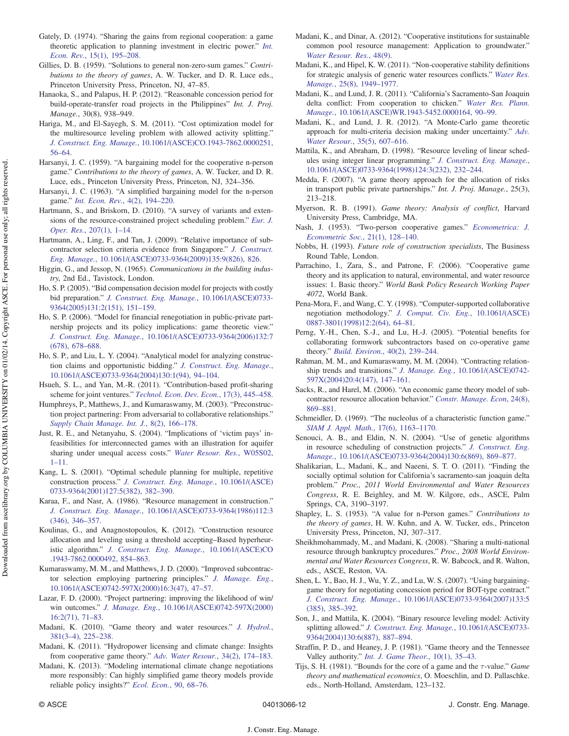- <span id="page-11-43"></span>Gately, D. (1974). "Sharing the gains from regional cooperation: a game theoretic application to planning investment in electric power." [Int.](http://dx.doi.org/10.2307/2526099) Econ. Rev.[, 15\(1\), 195](http://dx.doi.org/10.2307/2526099)–208.
- <span id="page-11-28"></span>Gillies, D. B. (1959). "Solutions to general non-zero-sum games." Contributions to the theory of games, A. W. Tucker, and D. R. Luce eds., Princeton University Press, Princeton, NJ, 47–85.
- <span id="page-11-25"></span>Hanaoka, S., and Palapus, H. P. (2012). "Reasonable concession period for build-operate-transfer road projects in the Philippines" Int. J. Proj. Manage., 30(8), 938–949.
- <span id="page-11-36"></span>Hariga, M., and El-Sayegh, S. M. (2011). "Cost optimization model for the multiresource leveling problem with allowed activity splitting." [J. Construct. Eng. Manage.](http://dx.doi.org/10.1061/(ASCE)CO.1943-7862.0000251)[, 10.1061/\(ASCE\)CO.1943-7862.0000251,](http://dx.doi.org/10.1061/(ASCE)CO.1943-7862.0000251) [56](http://dx.doi.org/10.1061/(ASCE)CO.1943-7862.0000251)–64.
- <span id="page-11-29"></span>Harsanyi, J. C. (1959). "A bargaining model for the cooperative n-person game." Contributions to the theory of games, A. W. Tucker, and D. R. Luce, eds., Princeton University Press, Princeton, NJ, 324–356.
- <span id="page-11-30"></span><span id="page-11-8"></span>Harsanyi, J. C. (1963). "A simplified bargaining model for the n-person game." [Int. Econ. Rev.](http://dx.doi.org/10.2307/2525487), 4(2), 194–220.
- Hartmann, S., and Briskorn, D. (2010). "A survey of variants and extensions of the resource-constrained project scheduling problem." [Eur. J.](http://dx.doi.org/10.1016/j.ejor.2009.11.005) Oper. Res.[, 207\(1\), 1](http://dx.doi.org/10.1016/j.ejor.2009.11.005)–14.
- <span id="page-11-3"></span>Hartmann, A., Ling, F., and Tan, J. (2009). "Relative importance of subcontractor selection criteria evidence from Singapore." [J. Construct.](http://dx.doi.org/10.1061/(ASCE)0733-9364(2009)135:9(826)) [Eng. Manage.](http://dx.doi.org/10.1061/(ASCE)0733-9364(2009)135:9(826))[, 10.1061/\(ASCE\)0733-9364\(2009\)135:9\(826\), 826.](http://dx.doi.org/10.1061/(ASCE)0733-9364(2009)135:9(826))
- <span id="page-11-21"></span><span id="page-11-2"></span>Higgin, G., and Jessop, N. (1965). Communications in the building industry, 2nd Ed., Tavistock, London.
- <span id="page-11-22"></span>Ho, S. P. (2005). "Bid compensation decision model for projects with costly bid preparation." [J. Construct. Eng. Manage.](http://dx.doi.org/10.1061/(ASCE)0733-9364(2005)131:2(151)), 10.1061/(ASCE)0733-[9364\(2005\)131:2\(151\), 151](http://dx.doi.org/10.1061/(ASCE)0733-9364(2005)131:2(151))–159.
- Ho, S. P. (2006). "Model for financial renegotiation in public-private partnership projects and its policy implications: game theoretic view." [J. Construct. Eng. Manage.](http://dx.doi.org/10.1061/(ASCE)0733-9364(2006)132:7(678))[, 10.1061/\(ASCE\)0733-9364\(2006\)132:7](http://dx.doi.org/10.1061/(ASCE)0733-9364(2006)132:7(678)) [\(678\), 678](http://dx.doi.org/10.1061/(ASCE)0733-9364(2006)132:7(678))–688.
- <span id="page-11-27"></span><span id="page-11-20"></span>Ho, S. P., and Liu, L. Y. (2004). "Analytical model for analyzing construction claims and opportunistic bidding." [J. Construct. Eng. Manage.](http://dx.doi.org/10.1061/(ASCE)0733-9364(2004)130:1(94)), [10.1061/\(ASCE\)0733-9364\(2004\)130:1\(94\), 94](http://dx.doi.org/10.1061/(ASCE)0733-9364(2004)130:1(94))–104.
- <span id="page-11-4"></span>Hsueh, S. L., and Yan, M.-R. (2011). "Contribution-based profit-sharing scheme for joint ventures." [Technol. Econ. Dev. Econ.](http://dx.doi.org/10.3846/20294913.2011.580578), 17(3), 445-458.
- <span id="page-11-16"></span>Humphreys, P., Matthews, J., and Kumaraswamy, M. (2003). "Preconstruction project partnering: From adversarial to collaborative relationships." [Supply Chain Manage. Int. J.](http://dx.doi.org/10.1108/13598540310468760), 8(2), 166–178.
- <span id="page-11-7"></span>Just, R. E., and Netanyahu, S. (2004). "Implications of 'victim pays' infeasibilities for interconnected games with an illustration for aquifer sharing under unequal access costs." [Water Resour. Res.](http://dx.doi.org/10.1029/2003WR002528), W05S02, 1–[11.](http://dx.doi.org/10.1029/2003WR002528)
- <span id="page-11-39"></span>Kang, L. S. (2001). "Optimal schedule planning for multiple, repetitive construction process." [J. Construct. Eng. Manage.](http://dx.doi.org/10.1061/(ASCE)0733-9364(2001)127:5(382)), 10.1061/(ASCE) [0733-9364\(2001\)127:5\(382\), 382](http://dx.doi.org/10.1061/(ASCE)0733-9364(2001)127:5(382))–390.
- <span id="page-11-35"></span>Karaa, F., and Nasr, A. (1986). "Resource management in construction." [J. Construct. Eng. Manage.](http://dx.doi.org/10.1061/(ASCE)0733-9364(1986)112:3(346))[, 10.1061/\(ASCE\)0733-9364\(1986\)112:3](http://dx.doi.org/10.1061/(ASCE)0733-9364(1986)112:3(346)) [\(346\), 346](http://dx.doi.org/10.1061/(ASCE)0733-9364(1986)112:3(346))–357.
- <span id="page-11-1"></span>Koulinas, G., and Anagnostopoulos, K. (2012). "Construction resource allocation and leveling using a threshold accepting–Based hyperheuristic algorithm." [J. Construct. Eng. Manage.](http://dx.doi.org/10.1061/(ASCE)CO.1943-7862.0000492), 10.1061/(ASCE)CO [.1943-7862.0000492, 854](http://dx.doi.org/10.1061/(ASCE)CO.1943-7862.0000492)–863.
- <span id="page-11-18"></span>Kumaraswamy, M. M., and Matthews, J. D. (2000). "Improved subcontractor selection employing partnering principles." [J. Manage. Eng.](http://dx.doi.org/10.1061/(ASCE)0742-597X(2000)16:3(47)), [10.1061/\(ASCE\)0742-597X\(2000\)16:3\(47\), 47](http://dx.doi.org/10.1061/(ASCE)0742-597X(2000)16:3(47))–57.
- <span id="page-11-10"></span>Lazar, F. D. (2000). "Project partnering: improving the likelihood of win/ win outcomes." [J. Manage. Eng.](http://dx.doi.org/10.1061/(ASCE)0742-597X(2000)16:2(71))[, 10.1061/\(ASCE\)0742-597X\(2000\)](http://dx.doi.org/10.1061/(ASCE)0742-597X(2000)16:2(71)) [16:2\(71\), 71](http://dx.doi.org/10.1061/(ASCE)0742-597X(2000)16:2(71))–83.
- <span id="page-11-17"></span>Madani, K. (2010). "Game theory and water resources." [J. Hydrol.](http://dx.doi.org/10.1016/j.jhydrol.2009.11.045), 381(3–[4\), 225](http://dx.doi.org/10.1016/j.jhydrol.2009.11.045)–238.
- <span id="page-11-45"></span>Madani, K. (2011). "Hydropower licensing and climate change: Insights from cooperative game theory." [Adv. Water Resour.](http://dx.doi.org/10.1016/j.advwatres.2010.10.003), 34(2), 174-183.
- Madani, K. (2013). "Modeling international climate change negotiations more responsibly: Can highly simplified game theory models provide reliable policy insights?" [Ecol. Econ.](http://dx.doi.org/10.1016/j.ecolecon.2013.02.011), 90, 68–76.
- <span id="page-11-15"></span>Madani, K., and Dinar, A. (2012). "Cooperative institutions for sustainable common pool resource management: Application to groundwater." [Water Resour. Res.](http://dx.doi.org/10.1029/2011WR010849), 48(9).
- <span id="page-11-13"></span>Madani, K., and Hipel, K. W. (2011). "Non-cooperative stability definitions for strategic analysis of generic water resources conflicts." [Water Res.](http://dx.doi.org/10.1007/s11269-011-9783-4) Manage.[, 25\(8\), 1949](http://dx.doi.org/10.1007/s11269-011-9783-4)–1977.
- <span id="page-11-11"></span>Madani, K., and Lund, J. R. (2011). "California's Sacramento-San Joaquin delta conflict: From cooperation to chicken." [Water Res. Plann.](http://dx.doi.org/10.1061/(ASCE)WR.1943-5452.0000164) [Manage.](http://dx.doi.org/10.1061/(ASCE)WR.1943-5452.0000164)[, 10.1061/\(ASCE\)WR.1943-5452.0000164, 90](http://dx.doi.org/10.1061/(ASCE)WR.1943-5452.0000164)–99.
- <span id="page-11-12"></span>Madani, K., and Lund, J. R. (2012). "A Monte-Carlo game theoretic approach for multi-criteria decision making under uncertainty." [Adv.](http://dx.doi.org/10.1016/j.advwatres.2011.02.009) [Water Resour.](http://dx.doi.org/10.1016/j.advwatres.2011.02.009), 35(5), 607–616.
- <span id="page-11-38"></span>Mattila, K., and Abraham, D. (1998). "Resource leveling of linear schedules using integer linear programming." [J. Construct. Eng. Manage.](http://dx.doi.org/10.1061/(ASCE)0733-9364(1998)124:3(232)), [10.1061/\(ASCE\)0733-9364\(1998\)124:3\(232\), 232](http://dx.doi.org/10.1061/(ASCE)0733-9364(1998)124:3(232))–244.
- <span id="page-11-23"></span>Medda, F. (2007). "A game theory approach for the allocation of risks in transport public private partnerships." Int. J. Proj. Manage., 25(3), 213–218.
- <span id="page-11-9"></span>Myerson, R. B. (1991). Game theory: Analysis of conflict, Harvard University Press, Cambridge, MA.
- <span id="page-11-31"></span>Nash, J. (1953). "Two-person cooperative games." [Econometrica: J.](http://dx.doi.org/10.2307/1906951) [Econometric Soc.](http://dx.doi.org/10.2307/1906951), 21(1), 128–140.
- <span id="page-11-14"></span><span id="page-11-0"></span>Nobbs, H. (1993). Future role of construction specialists, The Business Round Table, London.
- Parrachino, I., Zara, S., and Patrone, F. (2006). "Cooperative game theory and its application to natural, environmental, and water resource issues: 1. Basic theory." World Bank Policy Research Working Paper 4072, World Bank.
- <span id="page-11-19"></span>Pena-Mora, F., and Wang, C. Y. (1998). "Computer-supported collaborative negotiation methodology." [J. Comput. Civ. Eng.](http://dx.doi.org/10.1061/(ASCE)0887-3801(1998)12:2(64)), 10.1061/(ASCE) [0887-3801\(1998\)12:2\(64\), 64](http://dx.doi.org/10.1061/(ASCE)0887-3801(1998)12:2(64))–81.
- <span id="page-11-6"></span>Perng, Y.-H., Chen, S.-J., and Lu, H.-J. (2005). "Potential benefits for collaborating formwork subcontractors based on co-operative game theory." [Build. Environ.](http://dx.doi.org/10.1016/j.buildenv.2004.07.007), 40(2), 239–244.
- <span id="page-11-5"></span>Rahman, M. M., and Kumaraswamy, M. M. (2004). "Contracting relation-ship trends and transitions." [J. Manage. Eng.](http://dx.doi.org/10.1061/(ASCE)0742-597X(2004)20:4(147))[, 10.1061/\(ASCE\)0742-](http://dx.doi.org/10.1061/(ASCE)0742-597X(2004)20:4(147)) [597X\(2004\)20:4\(147\), 147](http://dx.doi.org/10.1061/(ASCE)0742-597X(2004)20:4(147))–161.
- <span id="page-11-26"></span>Sacks, R., and Harel, M. (2006). "An economic game theory model of subcontractor resource allocation behavior." [Constr. Manage. Econ](http://dx.doi.org/10.1080/01446190600631856), 24(8), 869–[881.](http://dx.doi.org/10.1080/01446190600631856)
- <span id="page-11-37"></span><span id="page-11-32"></span>Schmeidler, D. (1969). "The nucleolus of a characteristic function game." [SIAM J. Appl. Math.](http://dx.doi.org/10.1137/0117107), 17(6), 1163–1170.
- <span id="page-11-42"></span>Senouci, A. B., and Eldin, N. N. (2004). "Use of genetic algorithms in resource scheduling of construction projects." [J. Construct. Eng.](http://dx.doi.org/10.1061/(ASCE)0733-9364(2004)130:6(869)) [Manage.](http://dx.doi.org/10.1061/(ASCE)0733-9364(2004)130:6(869))[, 10.1061/\(ASCE\)0733-9364\(2004\)130:6\(869\), 869](http://dx.doi.org/10.1061/(ASCE)0733-9364(2004)130:6(869))–877.
- Shalikarian, L., Madani, K., and Naeeni, S. T. O. (2011). "Finding the socially optimal solution for California's sacramento-san joaquin delta problem." Proc., 2011 World Environmental and Water Resources Congress, R. E. Beighley, and M. W. Kilgore, eds., ASCE, Palm Springs, CA, 3190–3197.
- <span id="page-11-41"></span><span id="page-11-33"></span>Shapley, L. S. (1953). "A value for n-Person games." Contributions to the theory of games, H. W. Kuhn, and A. W. Tucker, eds., Princeton University Press, Princeton, NJ, 307–317.
- Sheikhmohammady, M., and Madani, K. (2008). "Sharing a multi-national resource through bankruptcy procedures." Proc., 2008 World Environmental and Water Resources Congress, R. W. Babcock, and R. Walton, eds., ASCE, Reston, VA.
- <span id="page-11-24"></span>Shen, L. Y., Bao, H. J., Wu, Y. Z., and Lu, W. S. (2007). "Using bargaininggame theory for negotiating concession period for BOT-type contract." [J. Construct. Eng. Manage.](http://dx.doi.org/10.1061/(ASCE)0733-9364(2007)133:5(385))[, 10.1061/\(ASCE\)0733-9364\(2007\)133:5](http://dx.doi.org/10.1061/(ASCE)0733-9364(2007)133:5(385)) [\(385\), 385](http://dx.doi.org/10.1061/(ASCE)0733-9364(2007)133:5(385))–392.
- <span id="page-11-44"></span><span id="page-11-40"></span>Son, J., and Mattila, K. (2004). "Binary resource leveling model: Activity splitting allowed." [J. Construct. Eng. Manage.](http://dx.doi.org/10.1061/(ASCE)0733-9364(2004)130:6(887)), 10.1061/(ASCE)0733-[9364\(2004\)130:6\(887\), 887](http://dx.doi.org/10.1061/(ASCE)0733-9364(2004)130:6(887))–894.
- <span id="page-11-34"></span>Straffin, P. D., and Heaney, J. P. (1981). "Game theory and the Tennessee Valley authority." [Int. J. Game Theor.](http://dx.doi.org/10.1007/BF01770069), 10(1), 35–43.
- Tijs, S. H. (1981). "Bounds for the core of a game and the  $\tau$ -value." *Game* theory and mathematical economics, O. Moeschlin, and D. Pallaschke. eds., North-Holland, Amsterdam, 123–132.

J. Constr. Eng. Manage.